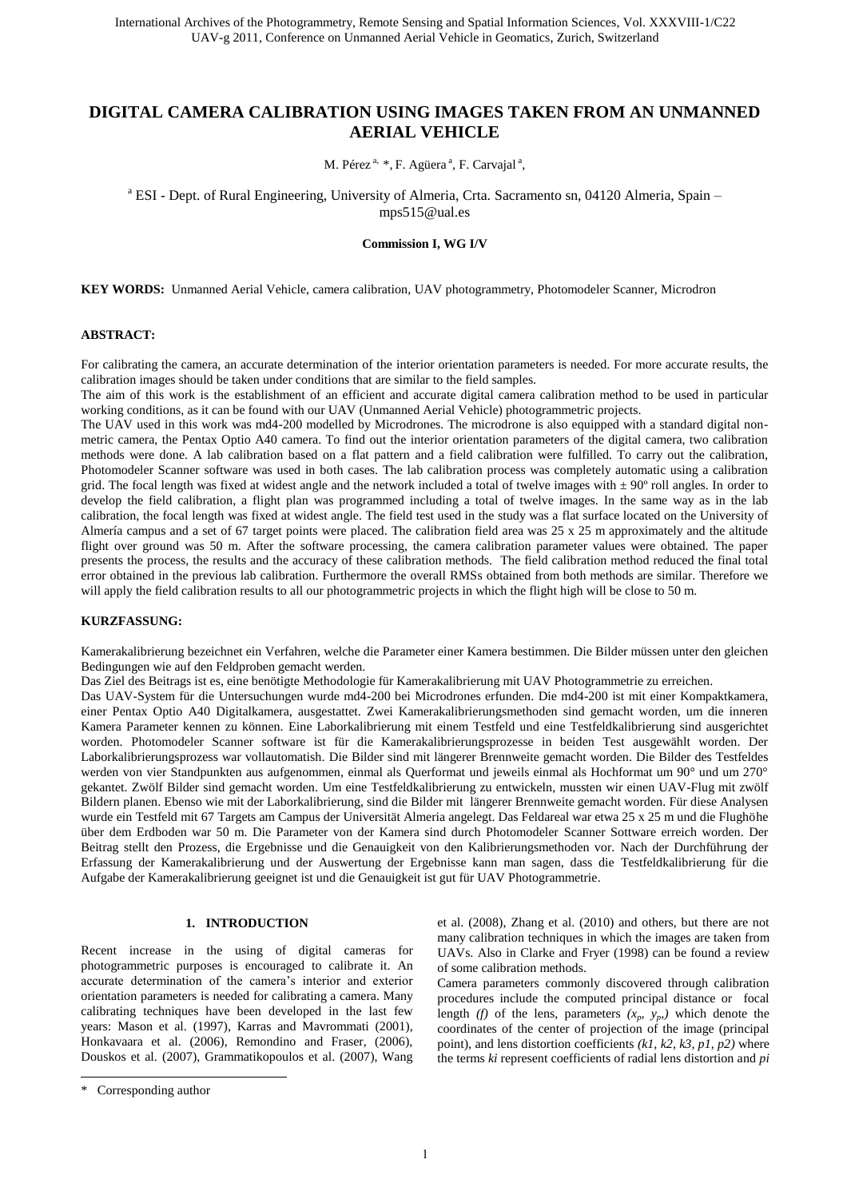# **DIGITAL CAMERA CALIBRATION USING IMAGES TAKEN FROM AN UNMANNED AERIAL VEHICLE**

M. Pérez<sup>a, \*</sup>, F. Agüera<sup>a</sup>, F. Carvajal<sup>a</sup>,

<sup>a</sup> ESI - Dept. of Rural Engineering, University of Almeria, Crta. Sacramento sn, 04120 Almeria, Spain mps515@ual.es

**Commission I, WG I/V** 

**KEY WORDS:** Unmanned Aerial Vehicle, camera calibration, UAV photogrammetry, Photomodeler Scanner, Microdron

### **ABSTRACT:**

For calibrating the camera, an accurate determination of the interior orientation parameters is needed. For more accurate results, the calibration images should be taken under conditions that are similar to the field samples.

The aim of this work is the establishment of an efficient and accurate digital camera calibration method to be used in particular working conditions, as it can be found with our UAV (Unmanned Aerial Vehicle) photogrammetric projects.

The UAV used in this work was md4-200 modelled by Microdrones. The microdrone is also equipped with a standard digital nonmetric camera, the Pentax Optio A40 camera. To find out the interior orientation parameters of the digital camera, two calibration methods were done. A lab calibration based on a flat pattern and a field calibration were fulfilled. To carry out the calibration, Photomodeler Scanner software was used in both cases. The lab calibration process was completely automatic using a calibration grid. The focal length was fixed at widest angle and the network included a total of twelve images with  $\pm$  90 $^{\circ}$  roll angles. In order to develop the field calibration, a flight plan was programmed including a total of twelve images. In the same way as in the lab calibration, the focal length was fixed at widest angle. The field test used in the study was a flat surface located on the University of Almería campus and a set of 67 target points were placed. The calibration field area was 25 x 25 m approximately and the altitude flight over ground was 50 m. After the software processing, the camera calibration parameter values were obtained. The paper presents the process, the results and the accuracy of these calibration methods. The field calibration method reduced the final total error obtained in the previous lab calibration. Furthermore the overall RMSs obtained from both methods are similar. Therefore we will apply the field calibration results to all our photogrammetric projects in which the flight high will be close to 50 m.

# **KURZFASSUNG:**

Kamerakalibrierung bezeichnet ein Verfahren, welche die Parameter einer Kamera bestimmen. Die Bilder müssen unter den gleichen Bedingungen wie auf den Feldproben gemacht werden.

Das Ziel des Beitrags ist es, eine benötigte Methodologie für Kamerakalibrierung mit UAV Photogrammetrie zu erreichen.

Das UAV-System für die Untersuchungen wurde md4-200 bei Microdrones erfunden. Die md4-200 ist mit einer Kompaktkamera, einer Pentax Optio A40 Digitalkamera, ausgestattet. Zwei Kamerakalibrierungsmethoden sind gemacht worden, um die inneren Kamera Parameter kennen zu können. Eine Laborkalibrierung mit einem Testfeld und eine Testfeldkalibrierung sind ausgerichtet worden. Photomodeler Scanner software ist für die Kamerakalibrierungsprozesse in beiden Test ausgewählt worden. Der Laborkalibrierungsprozess war vollautomatish. Die Bilder sind mit längerer Brennweite gemacht worden. Die Bilder des Testfeldes werden von vier Standpunkten aus aufgenommen, einmal als Querformat und jeweils einmal als Hochformat um 90° und um 270° gekantet. Zwölf Bilder sind gemacht worden. Um eine Testfeldkalibrierung zu entwickeln, mussten wir einen UAV-Flug mit zwölf Bildern planen. Ebenso wie mit der Laborkalibrierung, sind die Bilder mit längerer Brennweite gemacht worden. Für diese Analysen wurde ein Testfeld mit 67 Targets am Campus der Universität Almeria angelegt. Das Feldareal war etwa 25 x 25 m und die Flughöhe über dem Erdboden war 50 m. Die Parameter von der Kamera sind durch Photomodeler Scanner Sottware erreich worden. Der Beitrag stellt den Prozess, die Ergebnisse und die Genauigkeit von den Kalibrierungsmethoden vor. Nach der Durchführung der Erfassung der Kamerakalibrierung und der Auswertung der Ergebnisse kann man sagen, dass die Testfeldkalibrierung für die Aufgabe der Kamerakalibrierung geeignet ist und die Genauigkeit ist gut für UAV Photogrammetrie.

#### 1. **INTRODUCTION**

Recent increase in the using of digital cameras for photogrammetric purposes is encouraged to calibrate it. An accurate determination of the camera's interior and exterior orientation parameters is needed for calibrating a camera. Many calibrating techniques have been developed in the last few years: Mason et al. (1997), Karras and Mavrommati (2001), Honkavaara et al. (2006), Remondino and Fraser, (2006), Douskos et al. (2007), Grammatikopoulos et al. (2007), Wang

 $\overline{a}$ 

et al. (2008), Zhang et al. (2010) and others, but there are not many calibration techniques in which the images are taken from UAVs. Also in Clarke and Fryer (1998) can be found a review of some calibration methods.

Camera parameters commonly discovered through calibration procedures include the computed principal distance or focal length *(f)* of the lens, parameters  $(x_p, y_p)$  which denote the coordinates of the center of projection of the image (principal point), and lens distortion coefficients *(k1, k2, k3, p1, p2)* where the terms *ki* represent coefficients of radial lens distortion and *pi* 

<sup>\*</sup> Corresponding author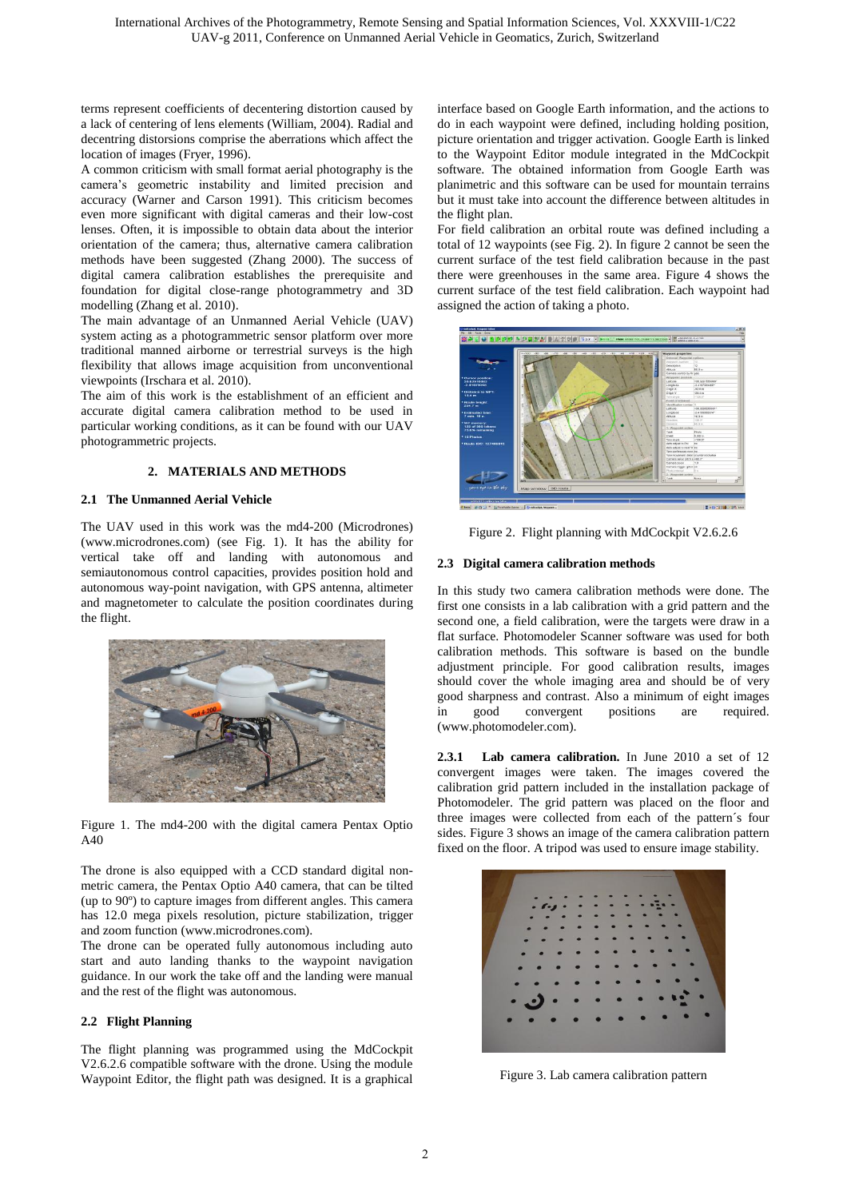terms represent coefficients of decentering distortion caused by a lack of centering of lens elements (William, 2004). Radial and decentring distorsions comprise the aberrations which affect the location of images (Fryer, 1996).

A common criticism with small format aerial photography is the camera's geometric instability and limited precision and accuracy (Warner and Carson 1991). This criticism becomes even more significant with digital cameras and their low-cost lenses. Often, it is impossible to obtain data about the interior orientation of the camera; thus, alternative camera calibration methods have been suggested (Zhang 2000). The success of digital camera calibration establishes the prerequisite and foundation for digital close-range photogrammetry and 3D modelling (Zhang et al. 2010).

The main advantage of an Unmanned Aerial Vehicle (UAV) system acting as a photogrammetric sensor platform over more traditional manned airborne or terrestrial surveys is the high flexibility that allows image acquisition from unconventional viewpoints (Irschara et al. 2010).

The aim of this work is the establishment of an efficient and accurate digital camera calibration method to be used in particular working conditions, as it can be found with our UAV photogrammetric projects.

# **2. MATERIALS AND METHODS** *1B*

## **2.1** *7B***The Unmanned Aerial Vehicle**

The UAV used in this work was the md4-200 (Microdrones) (www.microdrones.com) (see Fig. 1). It has the ability for vertical take off and landing with autonomous and semiautonomous control capacities, provides position hold and autonomous way-point navigation, with GPS antenna, altimeter and magnetometer to calculate the position coordinates during the flight.



Figure 1. The md4-200 with the digital camera Pentax Optio A40

The drone is also equipped with a CCD standard digital nonmetric camera, the Pentax Optio A40 camera, that can be tilted (up to 90º) to capture images from different angles. This camera has 12.0 mega pixels resolution, picture stabilization, trigger and zoom function (www.microdrones.com).

The drone can be operated fully autonomous including auto start and auto landing thanks to the waypoint navigation guidance. In our work the take off and the landing were manual and the rest of the flight was autonomous.

## **2.2 Flight Planning**

The flight planning was programmed using the MdCockpit V2.6.2.6 compatible software with the drone. Using the module Waypoint Editor, the flight path was designed. It is a graphical interface based on Google Earth information, and the actions to do in each waypoint were defined, including holding position, picture orientation and trigger activation. Google Earth is linked to the Waypoint Editor module integrated in the MdCockpit software. The obtained information from Google Earth was planimetric and this software can be used for mountain terrains but it must take into account the difference between altitudes in the flight plan.

For field calibration an orbital route was defined including a total of 12 waypoints (see Fig. 2). In figure 2 cannot be seen the current surface of the test field calibration because in the past there were greenhouses in the same area. Figure 4 shows the current surface of the test field calibration. Each waypoint had assigned the action of taking a photo.



Figure 2. Flight planning with MdCockpit V2.6.2.6

# **2.3** Digital camera calibration methods

In this study two camera calibration methods were done. The first one consists in a lab calibration with a grid pattern and the second one, a field calibration, were the targets were draw in a flat surface. Photomodeler Scanner software was used for both calibration methods. This software is based on the bundle adjustment principle. For good calibration results, images should cover the whole imaging area and should be of very good sharpness and contrast. Also a minimum of eight images in good convergent positions are required. (www.photomodeler.com).

**2.3.1 Lab camera calibration.** In June 2010 a set of 12 convergent images were taken. The images covered the calibration grid pattern included in the installation package of Photomodeler. The grid pattern was placed on the floor and three images were collected from each of the pattern´s four sides. Figure 3 shows an image of the camera calibration pattern fixed on the floor. A tripod was used to ensure image stability.



Figure 3. Lab camera calibration pattern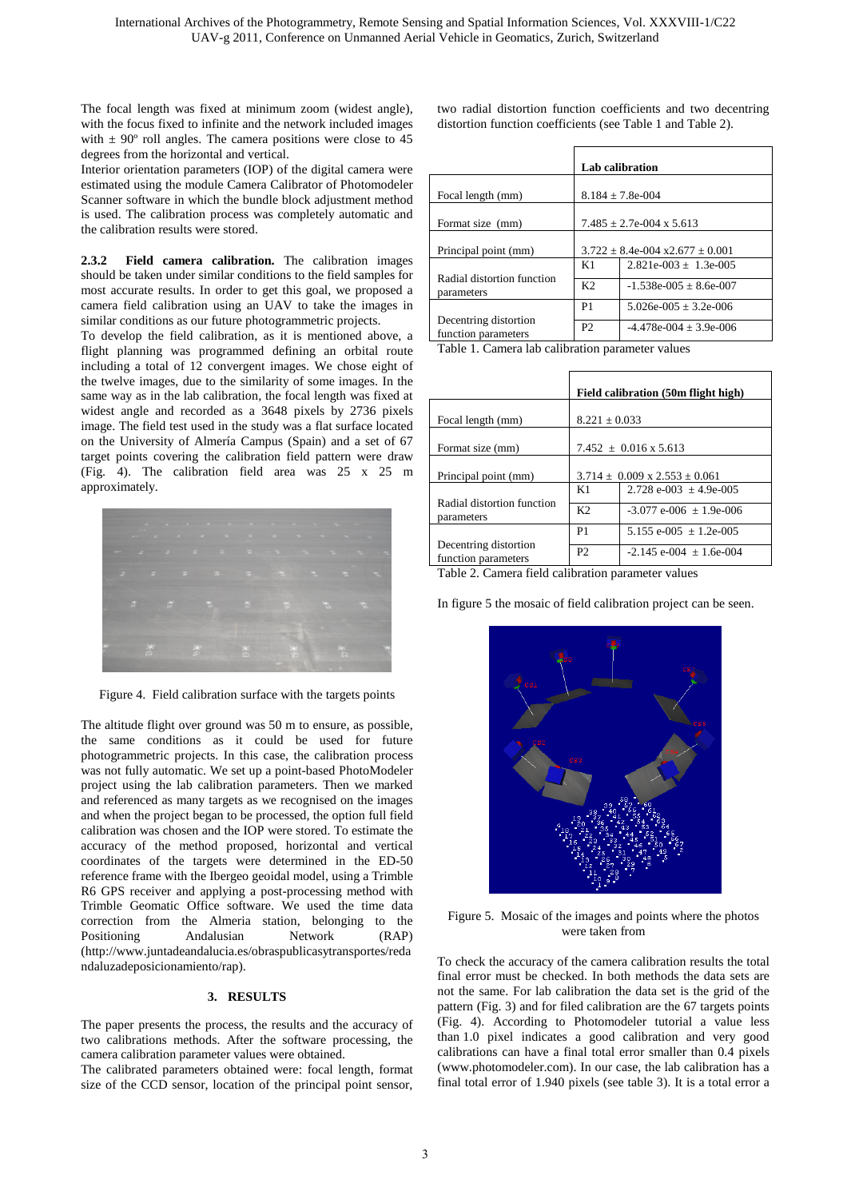The focal length was fixed at minimum zoom (widest angle), with the focus fixed to infinite and the network included images with  $\pm$  90 $^{\circ}$  roll angles. The camera positions were close to 45 degrees from the horizontal and vertical.

Interior orientation parameters (IOP) of the digital camera were estimated using the module Camera Calibrator of Photomodeler Scanner software in which the bundle block adjustment method is used. The calibration process was completely automatic and the calibration results were stored.

**2.3.2 Field camera calibration.** The calibration images should be taken under similar conditions to the field samples for most accurate results. In order to get this goal, we proposed a camera field calibration using an UAV to take the images in similar conditions as our future photogrammetric projects.

To develop the field calibration, as it is mentioned above, a flight planning was programmed defining an orbital route including a total of 12 convergent images. We chose eight of the twelve images, due to the similarity of some images. In the same way as in the lab calibration, the focal length was fixed at widest angle and recorded as a 3648 pixels by 2736 pixels image. The field test used in the study was a flat surface located on the University of Almería Campus (Spain) and a set of 67 target points covering the calibration field pattern were draw (Fig. 4). The calibration field area was 25 x 25 m approximately.



Figure 4. Field calibration surface with the targets points

The altitude flight over ground was 50 m to ensure, as possible, the same conditions as it could be used for future photogrammetric projects. In this case, the calibration process was not fully automatic. We set up a point-based PhotoModeler project using the lab calibration parameters. Then we marked and referenced as many targets as we recognised on the images and when the project began to be processed, the option full field calibration was chosen and the IOP were stored. To estimate the accuracy of the method proposed, horizontal and vertical coordinates of the targets were determined in the ED-50 reference frame with the Ibergeo geoidal model, using a Trimble R6 GPS receiver and applying a post-processing method with Trimble Geomatic Office software. We used the time data correction from the Almeria station, belonging to the Positioning Andalusian Network (RAP) (http://www.juntadeandalucia.es/obraspublicasytransportes/reda ndaluzadeposicionamiento/rap).

## 3. **RESULTS**

The paper presents the process, the results and the accuracy of two calibrations methods. After the software processing, the camera calibration parameter values were obtained.

The calibrated parameters obtained were: focal length, format size of the CCD sensor, location of the principal point sensor, two radial distortion function coefficients and two decentring distortion function coefficients (see Table 1 and Table 2).

|                                              | <b>Lab calibration</b>                    |                            |  |
|----------------------------------------------|-------------------------------------------|----------------------------|--|
| Focal length (mm)                            | $8.184 \pm 7.8$ e-004                     |                            |  |
| Format size (mm)                             | $7.485 + 2.7e-004 \times 5.613$           |                            |  |
| Principal point (mm)                         | $3.722 \pm 8.4e - 004x + 2.677 \pm 0.001$ |                            |  |
|                                              | K1                                        | $2.821e-003 + 1.3e-005$    |  |
| Radial distortion function<br>parameters     | K <sub>2</sub>                            | $-1.538e-005 \pm 8.6e-007$ |  |
|                                              | P <sub>1</sub>                            | $5.026e-005 + 3.2e-006$    |  |
| Decentring distortion<br>function parameters | P <sub>2</sub>                            | $-4.478e-004 + 3.9e-006$   |  |

Table 1. Camera lab calibration parameter values

|                                              | Field calibration (50m flight high)      |                                 |  |
|----------------------------------------------|------------------------------------------|---------------------------------|--|
| Focal length (mm)                            | $8.221 \pm 0.033$                        |                                 |  |
| Format size (mm)                             | $7.452 \pm 0.016 \times 5.613$           |                                 |  |
| Principal point (mm)                         | $3.714 \pm 0.009 \times 2.553 \pm 0.061$ |                                 |  |
|                                              | K1                                       | 2.728 e-003 $\pm$ 4.9e-005      |  |
| Radial distortion function<br>parameters     | K <sub>2</sub>                           | $-3.077$ e-006 $+1.9$ e-006     |  |
|                                              | P <sub>1</sub>                           | 5.155 e-005 $\pm$ 1.2e-005      |  |
| Decentring distortion<br>function parameters | P <sub>2</sub>                           | $-2.145$ e $-004$ + 1.6e $-004$ |  |

Table 2. Camera field calibration parameter values

In figure 5 the mosaic of field calibration project can be seen.



Figure 5. Mosaic of the images and points where the photos were taken from

To check the accuracy of the camera calibration results the total final error must be checked. In both methods the data sets are not the same. For lab calibration the data set is the grid of the pattern (Fig. 3) and for filed calibration are the 67 targets points (Fig. 4). According to Photomodeler tutorial a value less than 1.0 pixel indicates a good calibration and very good calibrations can have a final total error smaller than 0.4 pixels (www.photomodeler.com). In our case, the lab calibration has a final total error of 1.940 pixels (see table 3). It is a total error a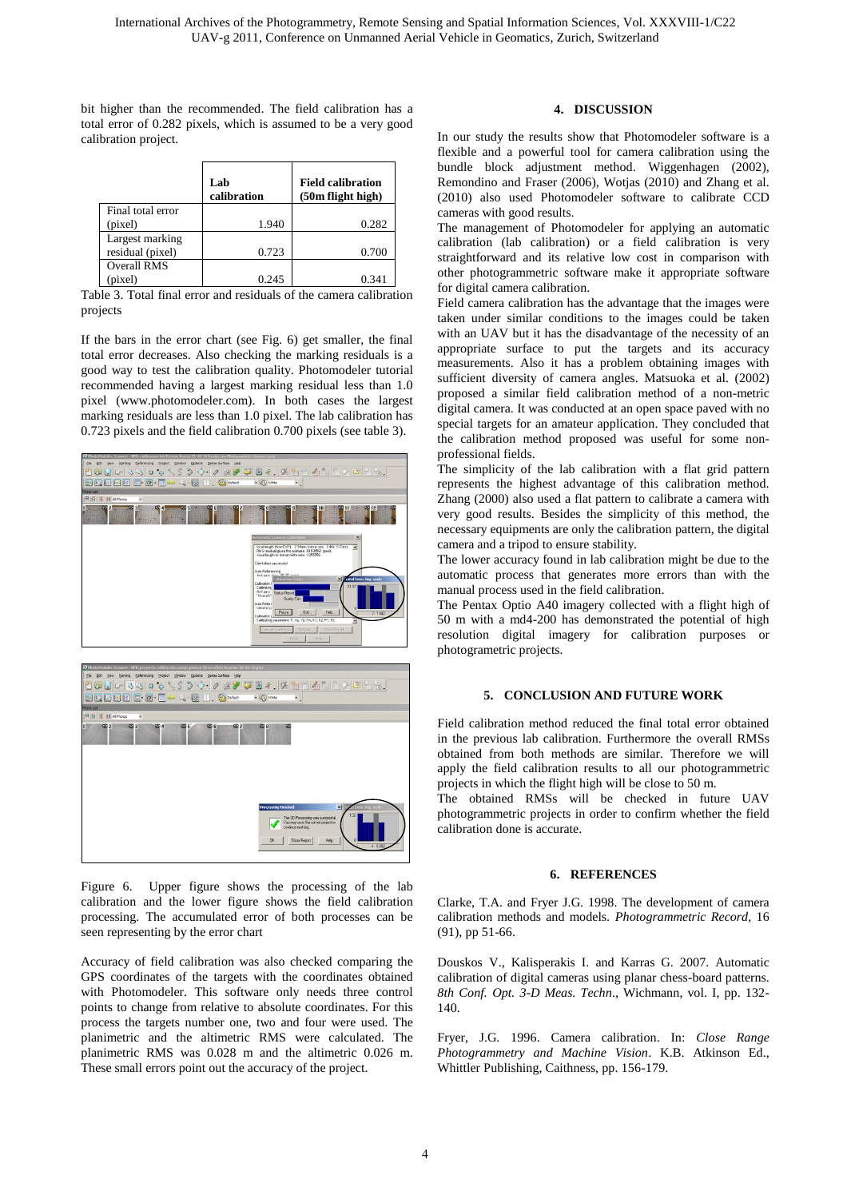bit higher than the recommended. The field calibration has a total error of 0.282 pixels, which is assumed to be a very good calibration project.

|                    | Lab<br>calibration | <b>Field calibration</b><br>(50m flight high) |
|--------------------|--------------------|-----------------------------------------------|
| Final total error  |                    |                                               |
| (pixel)            | 1.940              | 0.282                                         |
| Largest marking    |                    |                                               |
| residual (pixel)   | 0.723              | 0.700                                         |
| <b>Overall RMS</b> |                    |                                               |
| (pixel)            | 0.245              | 0.341                                         |

Table 3. Total final error and residuals of the camera calibration projects

If the bars in the error chart (see Fig. 6) get smaller, the final total error decreases. Also checking the marking residuals is a good way to test the calibration quality. Photomodeler tutorial recommended having a largest marking residual less than 1.0 pixel (www.photomodeler.com). In both cases the largest marking residuals are less than 1.0 pixel. The lab calibration has 0.723 pixels and the field calibration 0.700 pixels (see table 3).





Figure 6. Upper figure shows the processing of the lab calibration and the lower figure shows the field calibration processing. The accumulated error of both processes can be seen representing by the error chart

Accuracy of field calibration was also checked comparing the GPS coordinates of the targets with the coordinates obtained with Photomodeler. This software only needs three control points to change from relative to absolute coordinates. For this process the targets number one, two and four were used. The planimetric and the altimetric RMS were calculated. The planimetric RMS was 0.028 m and the altimetric 0.026 m. These small errors point out the accuracy of the project.

# **4. DISCUSSION**

In our study the results show that Photomodeler software is a flexible and a powerful tool for camera calibration using the bundle block adjustment method. Wiggenhagen (2002), Remondino and Fraser (2006), Wotjas (2010) and Zhang et al. (2010) also used Photomodeler software to calibrate CCD cameras with good results.

The management of Photomodeler for applying an automatic calibration (lab calibration) or a field calibration is very straightforward and its relative low cost in comparison with other photogrammetric software make it appropriate software for digital camera calibration.

Field camera calibration has the advantage that the images were taken under similar conditions to the images could be taken with an UAV but it has the disadvantage of the necessity of an appropriate surface to put the targets and its accuracy measurements. Also it has a problem obtaining images with sufficient diversity of camera angles. Matsuoka et al. (2002) proposed a similar field calibration method of a non-metric digital camera. It was conducted at an open space paved with no special targets for an amateur application. They concluded that the calibration method proposed was useful for some nonprofessional fields.

The simplicity of the lab calibration with a flat grid pattern represents the highest advantage of this calibration method. Zhang (2000) also used a flat pattern to calibrate a camera with very good results. Besides the simplicity of this method, the necessary equipments are only the calibration pattern, the digital camera and a tripod to ensure stability.

The lower accuracy found in lab calibration might be due to the automatic process that generates more errors than with the manual process used in the field calibration.

The Pentax Optio A40 imagery collected with a flight high of 50 m with a md4-200 has demonstrated the potential of high resolution digital imagery for calibration purposes or photogrametric projects.

#### **5. CONCLUSION AND FUTURE WORK**

Field calibration method reduced the final total error obtained in the previous lab calibration. Furthermore the overall RMSs obtained from both methods are similar. Therefore we will apply the field calibration results to all our photogrammetric projects in which the flight high will be close to 50 m.

The obtained RMSs will be checked in future UAV photogrammetric projects in order to confirm whether the field calibration done is accurate.

#### **6. REFERENCES**

Clarke, T.A. and Fryer J.G. 1998. The development of camera calibration methods and models. *Photogrammetric Record*, 16 (91), pp 51-66.

Douskos V., Kalisperakis I. and Karras G. 2007. Automatic calibration of digital cameras using planar chess-board patterns. *8th Conf. Opt. 3-D Meas. Techn*., Wichmann, vol. I, pp. 132- 140.

Fryer, J.G. 1996. Camera calibration. In: *Close Range Photogrammetry and Machine Vision*. K.B. Atkinson Ed., Whittler Publishing, Caithness, pp. 156-179.